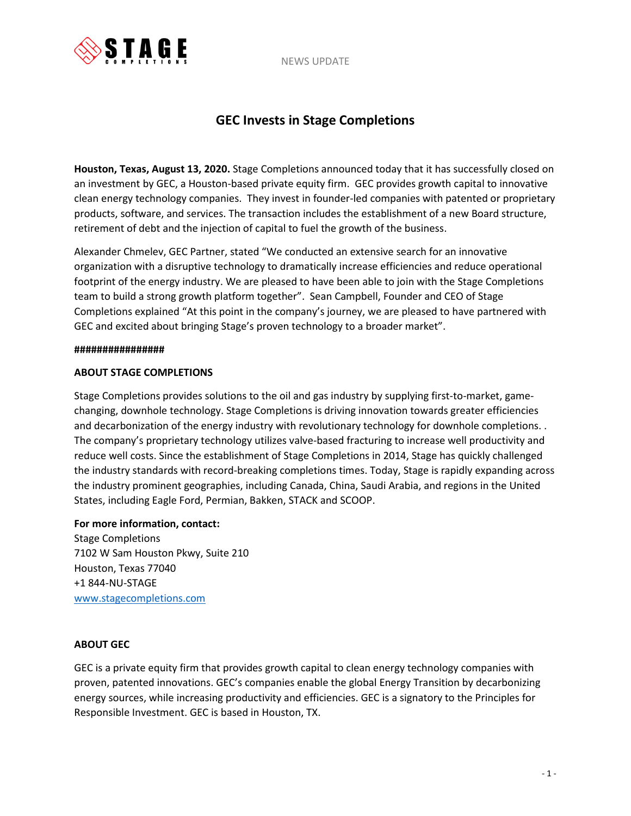NEWS UPDATE



# **GEC Invests in Stage Completions**

**Houston, Texas, August 13, 2020.** Stage Completions announced today that it has successfully closed on an investment by GEC, a Houston-based private equity firm. GEC provides growth capital to innovative clean energy technology companies. They invest in founder-led companies with patented or proprietary products, software, and services. The transaction includes the establishment of a new Board structure, retirement of debt and the injection of capital to fuel the growth of the business.

Alexander Chmelev, GEC Partner, stated "We conducted an extensive search for an innovative organization with a disruptive technology to dramatically increase efficiencies and reduce operational footprint of the energy industry. We are pleased to have been able to join with the Stage Completions team to build a strong growth platform together". Sean Campbell, Founder and CEO of Stage Completions explained "At this point in the company's journey, we are pleased to have partnered with GEC and excited about bringing Stage's proven technology to a broader market".

#### **################**

### **ABOUT STAGE COMPLETIONS**

Stage Completions provides solutions to the oil and gas industry by supplying first-to-market, gamechanging, downhole technology. Stage Completions is driving innovation towards greater efficiencies and decarbonization of the energy industry with revolutionary technology for downhole completions. . The company's proprietary technology utilizes valve-based fracturing to increase well productivity and reduce well costs. Since the establishment of Stage Completions in 2014, Stage has quickly challenged the industry standards with record-breaking completions times. Today, Stage is rapidly expanding across the industry prominent geographies, including Canada, China, Saudi Arabia, and regions in the United States, including Eagle Ford, Permian, Bakken, STACK and SCOOP.

### **For more information, contact:**

Stage Completions 7102 W Sam Houston Pkwy, Suite 210 Houston, Texas 77040 +1 844-NU-STAGE [www.stagecompletions.com](http://www.stagecompletions.com/)

### **ABOUT GEC**

GEC is a private equity firm that provides growth capital to clean energy technology companies with proven, patented innovations. GEC's companies enable the global Energy Transition by decarbonizing energy sources, while increasing productivity and efficiencies. GEC is a signatory to the Principles for Responsible Investment. GEC is based in Houston, TX.